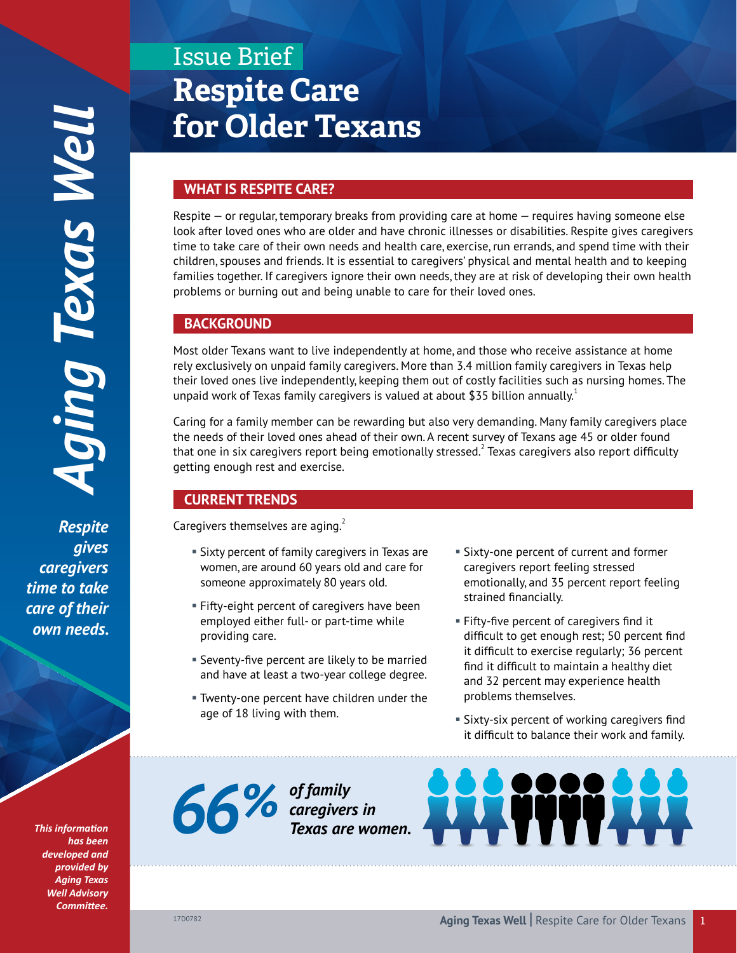*Respite gives caregivers time to take care of their*  own needs.

> *This information has been developed and provided by Aging Texas Well Advisory Committee.*

# Issue Brief **Respite Care for Older Texans**

# **WHAT IS RESPITE CARE?**

Respite — or regular, temporary breaks from providing care at home — requires having someone else look after loved ones who are older and have chronic illnesses or disabilities. Respite gives caregivers time to take care of their own needs and health care, exercise, run errands, and spend time with their children, spouses and friends. It is essential to caregivers' physical and mental health and to keeping families together. If caregivers ignore their own needs, they are at risk of developing their own health problems or burning out and being unable to care for their loved ones.

## **BACKGROUND**

Most older Texans want to live independently at home, and those who receive assistance at home rely exclusively on unpaid family caregivers. More than 3.4 million family caregivers in Texas help their loved ones live independently, keeping them out of costly facilities such as nursing homes. The unpaid work of Texas family caregivers is valued at about \$35 billion annually.<sup>1</sup>

Caring for a family member can be rewarding but also very demanding. Many family caregivers place the needs of their loved ones ahead of their own. A recent survey of Texans age 45 or older found that one in six caregivers report being emotionally stressed. $^2$  Texas caregivers also report difficulty getting enough rest and exercise.

# **CURRENT TRENDS**

Caregivers themselves are aging. $^{2}$ 

- § Sixty percent of family caregivers in Texas are women, are around 60 years old and care for someone approximately 80 years old.
- **Fifty-eight percent of caregivers have been** employed either full- or part-time while providing care.
- § Seventy-five percent are likely to be married and have at least a two-year college degree.
- § Twenty-one percent have children under the age of 18 living with them.
- Sixty-one percent of current and former caregivers report feeling stressed emotionally, and 35 percent report feeling strained financially.
- § Fifty-five percent of caregivers find it difficult to get enough rest; 50 percent find it difficult to exercise regularly; 36 percent find it difficult to maintain a healthy diet and 32 percent may experience health problems themselves.
- § Sixty-six percent of working caregivers find it difficult to balance their work and family.

*of family caregivers in Texas are women.*

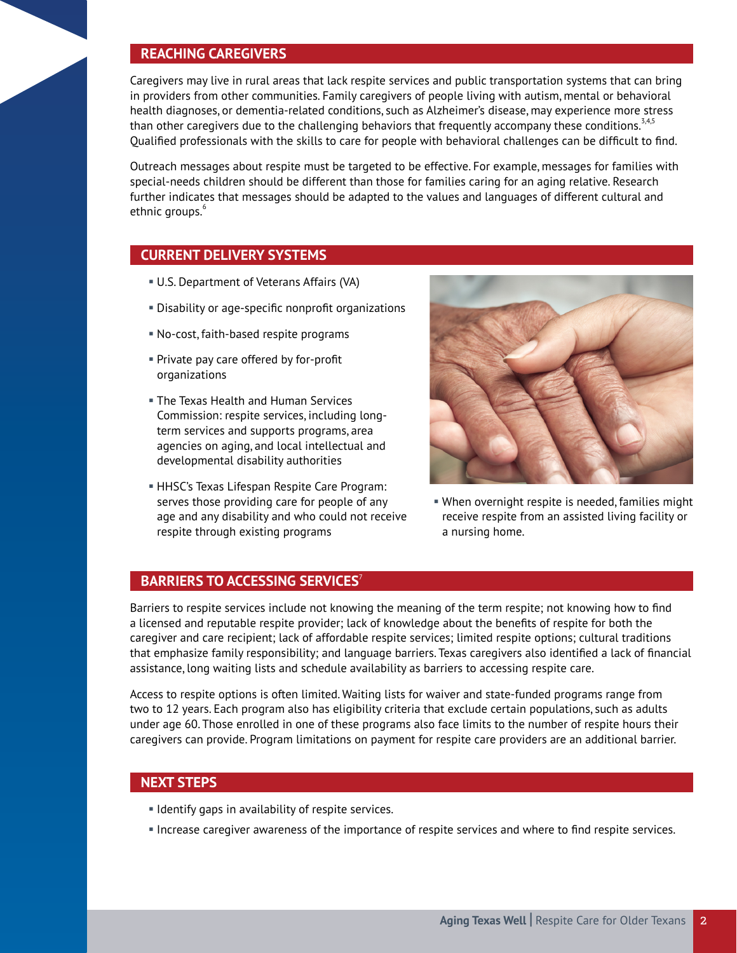## **REACHING CAREGIVERS**

Caregivers may live in rural areas that lack respite services and public transportation systems that can bring in providers from other communities. Family caregivers of people living with autism, mental or behavioral health diagnoses, or dementia-related conditions, such as Alzheimer's disease, may experience more stress than other caregivers due to the challenging behaviors that frequently accompany these conditions.<sup>3,4,5</sup> Qualified professionals with the skills to care for people with behavioral challenges can be difficult to find.

Outreach messages about respite must be targeted to be effective. For example, messages for families with special-needs children should be different than those for families caring for an aging relative. Research further indicates that messages should be adapted to the values and languages of different cultural and ethnic groups.<sup>6</sup>

## **CURRENT DELIVERY SYSTEMS**

- § U.S. Department of Veterans Affairs (VA)
- § Disability or age-specific nonprofit organizations
- § No-cost, faith-based respite programs
- § Private pay care offered by for-profit organizations
- **The Texas Health and Human Services** Commission: respite services, including longterm services and supports programs, area agencies on aging, and local intellectual and developmental disability authorities
- § HHSC's Texas Lifespan Respite Care Program: serves those providing care for people of any age and any disability and who could not receive respite through existing programs



§ When overnight respite is needed, families might receive respite from an assisted living facility or a nursing home.

## **BARRIERS TO ACCESSING SERVICES**<sup>7</sup>

Barriers to respite services include not knowing the meaning of the term respite; not knowing how to find a licensed and reputable respite provider; lack of knowledge about the benefits of respite for both the caregiver and care recipient; lack of affordable respite services; limited respite options; cultural traditions that emphasize family responsibility; and language barriers. Texas caregivers also identified a lack of financial assistance, long waiting lists and schedule availability as barriers to accessing respite care.

Access to respite options is often limited. Waiting lists for waiver and state-funded programs range from two to 12 years. Each program also has eligibility criteria that exclude certain populations, such as adults under age 60. Those enrolled in one of these programs also face limits to the number of respite hours their caregivers can provide. Program limitations on payment for respite care providers are an additional barrier.

## **NEXT STEPS**

- **Identify gaps in availability of respite services.**
- § Increase caregiver awareness of the importance of respite services and where to find respite services.